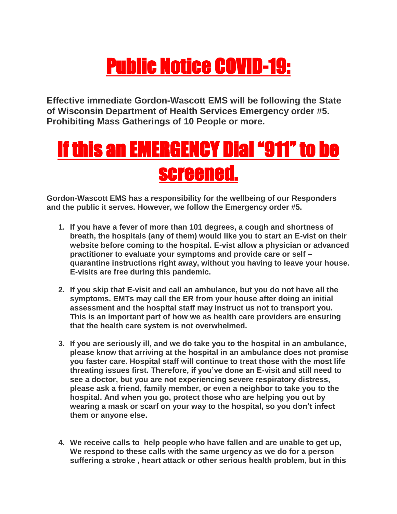## Public Notice COVID-19:

**Effective immediate Gordon-Wascott EMS will be following the State of Wisconsin Department of Health Services Emergency order #5. Prohibiting Mass Gatherings of 10 People or more.** 

## If this an EMERGENCY Dial "911" to be screened.

**Gordon-Wascott EMS has a responsibility for the wellbeing of our Responders and the public it serves. However, we follow the Emergency order #5.** 

- **1. If you have a fever of more than 101 degrees, a cough and shortness of breath, the hospitals (any of them) would like you to start an E-vist on their website before coming to the hospital. E-vist allow a physician or advanced practitioner to evaluate your symptoms and provide care or self – quarantine instructions right away, without you having to leave your house. E-visits are free during this pandemic.**
- **2. If you skip that E-visit and call an ambulance, but you do not have all the symptoms. EMTs may call the ER from your house after doing an initial assessment and the hospital staff may instruct us not to transport you. This is an important part of how we as health care providers are ensuring that the health care system is not overwhelmed.**
- **3. If you are seriously ill, and we do take you to the hospital in an ambulance, please know that arriving at the hospital in an ambulance does not promise you faster care. Hospital staff will continue to treat those with the most life threating issues first. Therefore, if you've done an E-visit and still need to see a doctor, but you are not experiencing severe respiratory distress, please ask a friend, family member, or even a neighbor to take you to the hospital. And when you go, protect those who are helping you out by wearing a mask or scarf on your way to the hospital, so you don't infect them or anyone else.**
- **4. We receive calls to help people who have fallen and are unable to get up, We respond to these calls with the same urgency as we do for a person suffering a stroke , heart attack or other serious health problem, but in this**